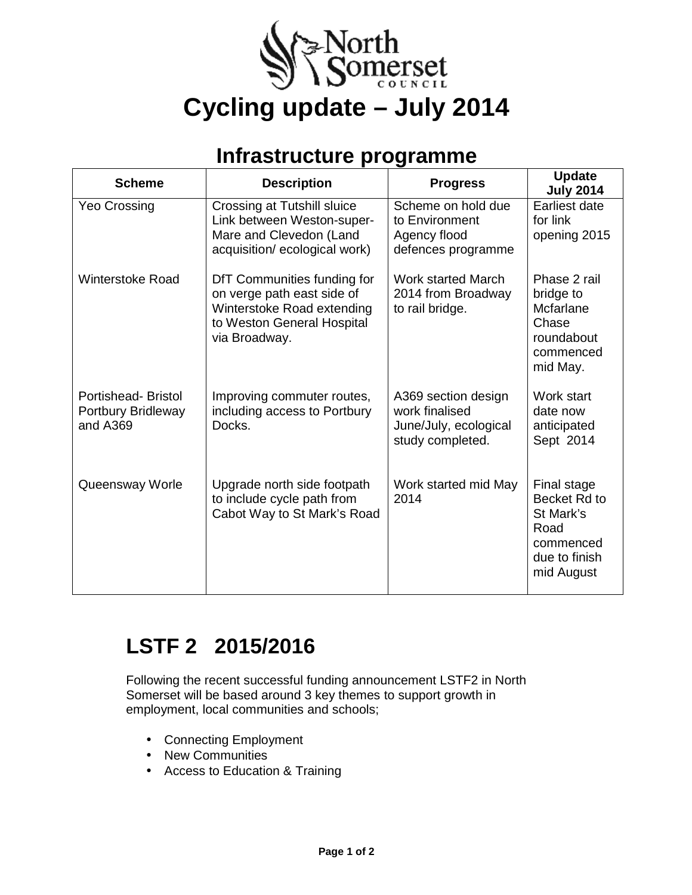

### **Infrastructure programme**

| <b>Scheme</b>                                               | <b>Description</b>                                                                                                                     | <b>Progress</b>                                                                    | <b>Update</b><br><b>July 2014</b>                                                            |
|-------------------------------------------------------------|----------------------------------------------------------------------------------------------------------------------------------------|------------------------------------------------------------------------------------|----------------------------------------------------------------------------------------------|
| <b>Yeo Crossing</b>                                         | Crossing at Tutshill sluice<br>Link between Weston-super-<br>Mare and Clevedon (Land<br>acquisition/ecological work)                   | Scheme on hold due<br>to Environment<br>Agency flood<br>defences programme         | Earliest date<br>for link<br>opening 2015                                                    |
| <b>Winterstoke Road</b>                                     | DfT Communities funding for<br>on verge path east side of<br>Winterstoke Road extending<br>to Weston General Hospital<br>via Broadway. | <b>Work started March</b><br>2014 from Broadway<br>to rail bridge.                 | Phase 2 rail<br>bridge to<br>Mcfarlane<br>Chase<br>roundabout<br>commenced<br>mid May.       |
| <b>Portishead-Bristol</b><br>Portbury Bridleway<br>and A369 | Improving commuter routes,<br>including access to Portbury<br>Docks.                                                                   | A369 section design<br>work finalised<br>June/July, ecological<br>study completed. | Work start<br>date now<br>anticipated<br>Sept 2014                                           |
| Queensway Worle                                             | Upgrade north side footpath<br>to include cycle path from<br>Cabot Way to St Mark's Road                                               | Work started mid May<br>2014                                                       | Final stage<br>Becket Rd to<br>St Mark's<br>Road<br>commenced<br>due to finish<br>mid August |

# **LSTF 2 2015/2016**

Following the recent successful funding announcement LSTF2 in North Somerset will be based around 3 key themes to support growth in employment, local communities and schools;

- Connecting Employment
- New Communities
- Access to Education & Training